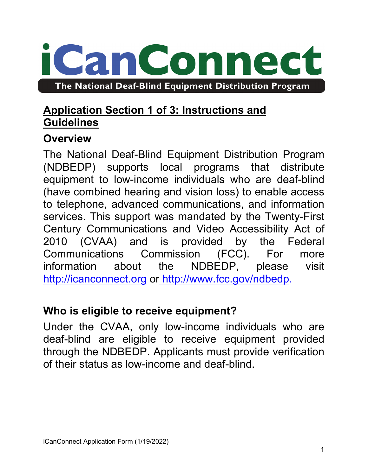# can Connec The National Deaf-Blind Equipment Distribution Program

# **Application Section 1 of 3: Instructions and Guidelines**

## **Overview**

The National Deaf-Blind Equipment Distribution Program (NDBEDP) supports local programs that distribute equipment to low-income individuals who are deaf-blind (have combined hearing and vision loss) to enable access to telephone, advanced communications, and information services. This support was mandated by the Twenty-First Century Communications and Video Accessibility Act of 2010 (CVAA) and is provided by the Federal Communications Commission (FCC). For more information about the NDBEDP, please visit [http://icanconnect.org](http://icanconnect.org/) or [http://www.fcc.gov/ndbedp.](http://www.fcc.gov/ndbedp)

# **Who is eligible to receive equipment?**

Under the CVAA, only low-income individuals who are deaf-blind are eligible to receive equipment provided through the NDBEDP. Applicants must provide verification of their status as low-income and deaf-blind.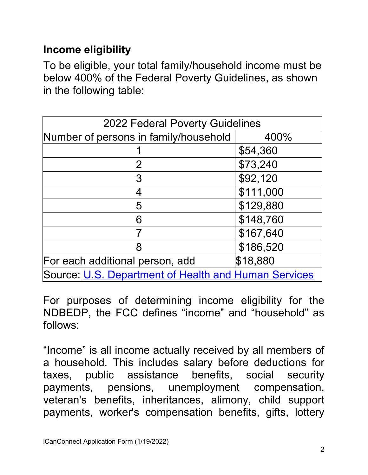# **Income eligibility**

To be eligible, your total family/household income must be below 400% of the Federal Poverty Guidelines, as shown in the following table:

| <b>2022 Federal Poverty Guidelines</b>               |           |
|------------------------------------------------------|-----------|
|                                                      |           |
| Number of persons in family/household                | 400%      |
|                                                      | \$54,360  |
| 2                                                    | \$73,240  |
| 3                                                    | \$92,120  |
| 4                                                    | \$111,000 |
| 5                                                    | \$129,880 |
| 6                                                    | \$148,760 |
|                                                      | \$167,640 |
| 8                                                    | \$186,520 |
| For each additional person, add                      | \$18,880  |
| Source: U.S. Department of Health and Human Services |           |

For purposes of determining income eligibility for the NDBEDP, the FCC defines "income" and "household" as follows:

"Income" is all income actually received by all members of a household. This includes salary before deductions for taxes, public assistance benefits, social security payments, pensions, unemployment compensation, veteran's benefits, inheritances, alimony, child support payments, worker's compensation benefits, gifts, lottery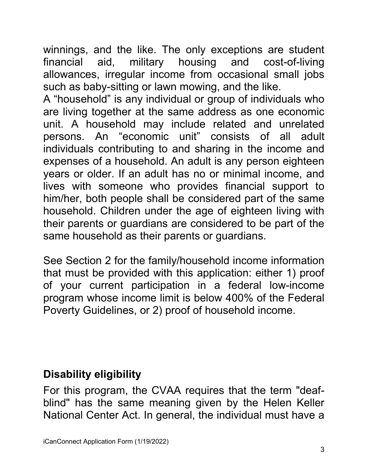winnings, and the like. The only exceptions are student financial aid, military housing and cost-of-living allowances, irregular income from occasional small jobs such as baby-sitting or lawn mowing, and the like.

A "household" is any individual or group of individuals who are living together at the same address as one economic unit. A household may include related and unrelated persons. An "economic unit" consists of all adult individuals contributing to and sharing in the income and expenses of a household. An adult is any person eighteen years or older. If an adult has no or minimal income, and lives with someone who provides financial support to him/her, both people shall be considered part of the same household. Children under the age of eighteen living with their parents or guardians are considered to be part of the same household as their parents or guardians.

See Section 2 for the family/household income information that must be provided with this application: either 1) proof of your current participation in a federal low-income program whose income limit is below 400% of the Federal Poverty Guidelines, or 2) proof of household income.

# **Disability eligibility**

For this program, the CVAA requires that the term "deafblind" has the same meaning given by the Helen Keller National Center Act. In general, the individual must have a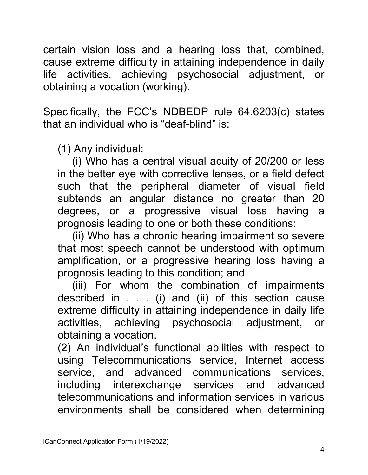certain vision loss and a hearing loss that, combined, cause extreme difficulty in attaining independence in daily life activities, achieving psychosocial adjustment, or obtaining a vocation (working).

Specifically, the FCC's NDBEDP rule 64.6203(c) states that an individual who is "deaf-blind" is:

(1) Any individual:

(i) Who has a central visual acuity of 20/200 or less in the better eye with corrective lenses, or a field defect such that the peripheral diameter of visual field subtends an angular distance no greater than 20 degrees, or a progressive visual loss having a prognosis leading to one or both these conditions:

(ii) Who has a chronic hearing impairment so severe that most speech cannot be understood with optimum amplification, or a progressive hearing loss having a prognosis leading to this condition; and

(iii) For whom the combination of impairments described in . . . (i) and (ii) of this section cause extreme difficulty in attaining independence in daily life activities, achieving psychosocial adjustment, or obtaining a vocation.

(2) An individual's functional abilities with respect to using Telecommunications service, Internet access service, and advanced communications services, including interexchange services and advanced telecommunications and information services in various environments shall be considered when determining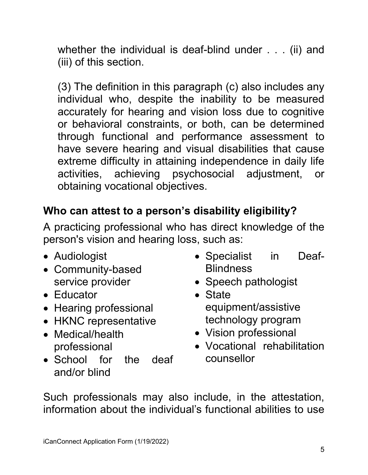whether the individual is deaf-blind under . . . (ii) and (iii) of this section.

(3) The definition in this paragraph (c) also includes any individual who, despite the inability to be measured accurately for hearing and vision loss due to cognitive or behavioral constraints, or both, can be determined through functional and performance assessment to have severe hearing and visual disabilities that cause extreme difficulty in attaining independence in daily life activities, achieving psychosocial adjustment, or obtaining vocational objectives.

# **Who can attest to a person's disability eligibility?**

A practicing professional who has direct knowledge of the person's vision and hearing loss, such as:

- Audiologist
- Community-based service provider
- Educator
- Hearing professional
- HKNC representative
- Medical/health professional
- School for the deaf and/or blind
- Specialist in Deaf-**Blindness**
- Speech pathologist
- State equipment/assistive technology program
- Vision professional
- Vocational rehabilitation counsellor

Such professionals may also include, in the attestation, information about the individual's functional abilities to use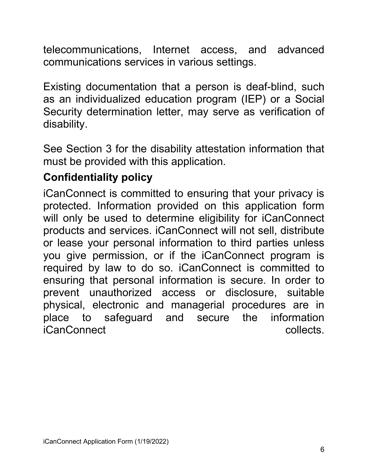telecommunications, Internet access, and advanced communications services in various settings.

Existing documentation that a person is deaf-blind, such as an individualized education program (IEP) or a Social Security determination letter, may serve as verification of disability.

See Section 3 for the disability attestation information that must be provided with this application.

# **Confidentiality policy**

iCanConnect is committed to ensuring that your privacy is protected. Information provided on this application form will only be used to determine eligibility for iCanConnect products and services. iCanConnect will not sell, distribute or lease your personal information to third parties unless you give permission, or if the iCanConnect program is required by law to do so. iCanConnect is committed to ensuring that personal information is secure. In order to prevent unauthorized access or disclosure, suitable physical, electronic and managerial procedures are in place to safeguard and secure the information iCanConnect collects.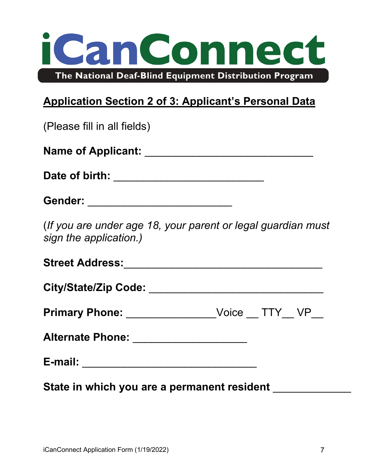

# **Application Section 2 of 3: Applicant's Personal Data**

| (Please fill in all fields)                                                            |  |
|----------------------------------------------------------------------------------------|--|
|                                                                                        |  |
|                                                                                        |  |
| Gender: ___________________________                                                    |  |
| (If you are under age 18, your parent or legal guardian must<br>sign the application.) |  |
|                                                                                        |  |
|                                                                                        |  |
| Primary Phone: _________________Voice __ TTY__ VP__                                    |  |
| Alternate Phone: _____________________                                                 |  |
|                                                                                        |  |
| State in which you are a permanent resident _________                                  |  |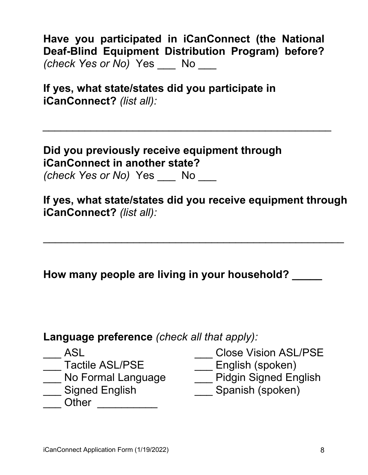**Have you participated in iCanConnect (the National Deaf-Blind Equipment Distribution Program) before?**  *(check Yes or No)* Yes \_\_\_ No \_\_\_

*\_\_\_\_\_\_\_\_\_\_\_\_\_\_\_\_\_\_\_\_\_\_\_\_\_\_\_\_\_\_\_\_\_\_\_\_\_\_\_\_\_\_\_\_\_\_\_\_*

**If yes, what state/states did you participate in iCanConnect?** *(list all):*

**Did you previously receive equipment through iCanConnect in another state?**

*(check Yes or No)* Yes \_\_\_ No \_\_\_

**If yes, what state/states did you receive equipment through iCanConnect?** *(list all):*

\_\_\_\_\_\_\_\_\_\_\_\_\_\_\_\_\_\_\_\_\_\_\_\_\_\_\_\_\_\_\_\_\_\_\_\_\_\_\_\_\_\_\_\_\_\_\_\_\_\_

**How many people are living in your household? \_\_\_\_\_**

## **Language preference** *(check all that apply):*

- 
- 
- \_\_\_ No Formal Language<br>\_\_\_ Signed English
- 
- Other \_\_\_\_\_\_\_\_\_\_\_\_

\_\_\_ ASL \_\_\_\_\_\_\_\_\_\_\_\_\_\_\_\_\_\_\_\_\_\_\_\_Close Vision ASL/PSE<br>\_\_\_ Tactile ASL/PSE \_\_\_\_\_\_\_\_\_\_\_\_\_English (spoken)

- 
- \_\_\_ Tactile ASL/PSE \_\_\_\_\_\_\_\_\_\_\_\_\_\_\_English (spoken)<br>\_\_\_ No Formal Language \_\_\_\_\_\_\_\_Pidgin Signed English
	- Spanish (spoken)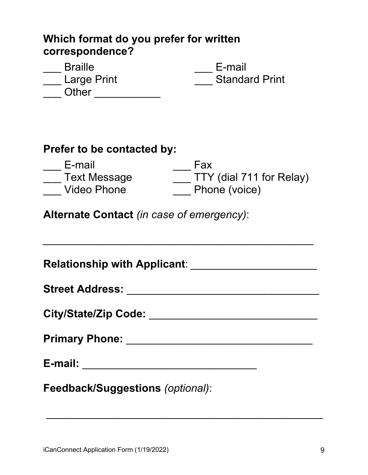#### **Which format do you prefer for written correspondence?**

| <b>Braille</b> | E-mail                |
|----------------|-----------------------|
| Large Print    | <b>Standard Print</b> |
| Other          |                       |

#### **Prefer to be contacted by:**

| E-mail              | Fax                      |
|---------------------|--------------------------|
| <b>Text Message</b> | TTY (dial 711 for Relay) |
| Video Phone         | Phone (voice)            |

*\_\_\_\_\_\_\_\_\_\_\_\_\_\_\_\_\_\_\_\_\_\_\_\_\_\_\_\_\_\_\_\_\_\_\_\_\_\_\_\_\_\_\_\_\_*

**Alternate Contact** *(in case of emergency)*:

| Relationship with Applicant: _____________________ |
|----------------------------------------------------|
|                                                    |
| City/State/Zip Code: ____________________________  |
|                                                    |
|                                                    |
| Feedback/Suggestions (optional):                   |

\_\_\_\_\_\_\_\_\_\_\_\_\_\_\_\_\_\_\_\_\_\_\_\_\_\_\_\_\_\_\_\_\_\_\_\_\_\_\_\_\_\_\_\_\_\_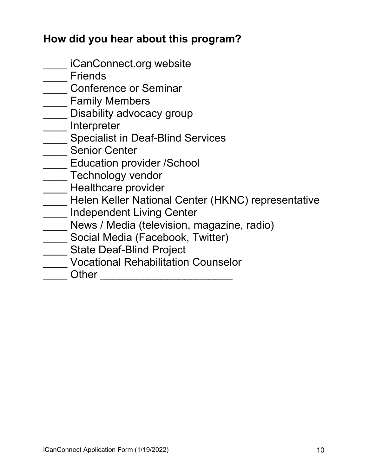## **How did you hear about this program?**

- \_\_\_\_ iCanConnect.org website
- \_\_\_\_ Friends
- Letter Conference or Seminar
- \_\_\_\_ Family Members
- \_\_\_\_\_ Disability advocacy group
- \_\_\_\_ Interpreter
- \_\_\_\_ Specialist in Deaf-Blind Services
- **Senior Center**
- **Education provider /School**
- **THE TECHNOLOGY VENDOR**
- **Example 21** Healthcare provider
- **\_\_\_\_** Helen Keller National Center (HKNC) representative
- **\_\_\_\_\_ Independent Living Center**
- \_\_\_\_ News / Media (television, magazine, radio)
- \_\_\_\_ Social Media (Facebook, Twitter)
- \_\_\_\_ State Deaf-Blind Project
- \_\_\_\_ Vocational Rehabilitation Counselor
- \_\_\_\_ Other \_\_\_\_\_\_\_\_\_\_\_\_\_\_\_\_\_\_\_\_\_\_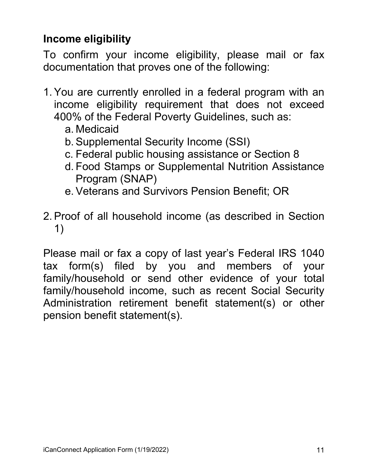## **Income eligibility**

To confirm your income eligibility, please mail or fax documentation that proves one of the following:

- 1. You are currently enrolled in a federal program with an income eligibility requirement that does not exceed 400% of the Federal Poverty Guidelines, such as:
	- a. Medicaid
	- b. Supplemental Security Income (SSI)
	- c. Federal public housing assistance or Section 8
	- d. Food Stamps or Supplemental Nutrition Assistance Program (SNAP)
	- e. Veterans and Survivors Pension Benefit; OR
- 2. Proof of all household income (as described in Section 1)

Please mail or fax a copy of last year's Federal IRS 1040 tax form(s) filed by you and members of your family/household or send other evidence of your total family/household income, such as recent Social Security Administration retirement benefit statement(s) or other pension benefit statement(s).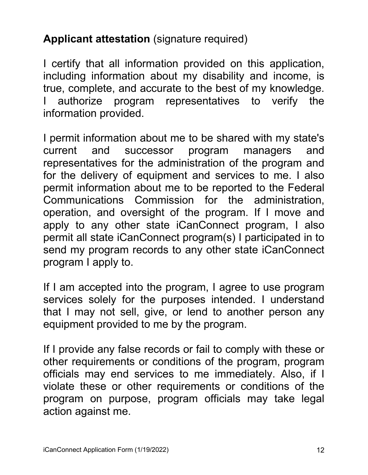# **Applicant attestation** (signature required)

I certify that all information provided on this application, including information about my disability and income, is true, complete, and accurate to the best of my knowledge. authorize program representatives to verify the information provided.

I permit information about me to be shared with my state's current and successor program managers and representatives for the administration of the program and for the delivery of equipment and services to me. I also permit information about me to be reported to the Federal Communications Commission for the administration, operation, and oversight of the program. If I move and apply to any other state iCanConnect program, I also permit all state iCanConnect program(s) I participated in to send my program records to any other state iCanConnect program I apply to.

If I am accepted into the program, I agree to use program services solely for the purposes intended. I understand that I may not sell, give, or lend to another person any equipment provided to me by the program.

If I provide any false records or fail to comply with these or other requirements or conditions of the program, program officials may end services to me immediately. Also, if I violate these or other requirements or conditions of the program on purpose, program officials may take legal action against me.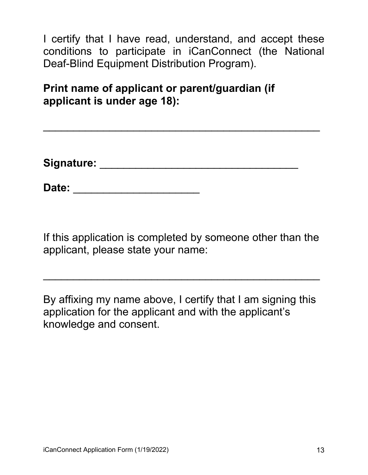I certify that I have read, understand, and accept these conditions to participate in iCanConnect (the National Deaf-Blind Equipment Distribution Program).

**Print name of applicant or parent/guardian (if applicant is under age 18):** 

**Signature:** \_\_\_\_\_\_\_\_\_\_\_\_\_\_\_\_\_\_\_\_\_\_\_\_\_\_\_\_\_\_\_\_\_

\_\_\_\_\_\_\_\_\_\_\_\_\_\_\_\_\_\_\_\_\_\_\_\_\_\_\_\_\_\_\_\_\_\_\_\_\_\_\_\_\_\_\_\_\_\_

**Date:** \_\_\_\_\_\_\_\_\_\_\_\_\_\_\_\_\_\_\_\_\_

If this application is completed by someone other than the applicant, please state your name:

\_\_\_\_\_\_\_\_\_\_\_\_\_\_\_\_\_\_\_\_\_\_\_\_\_\_\_\_\_\_\_\_\_\_\_\_\_\_\_\_\_\_\_\_\_\_

By affixing my name above, I certify that I am signing this application for the applicant and with the applicant's knowledge and consent.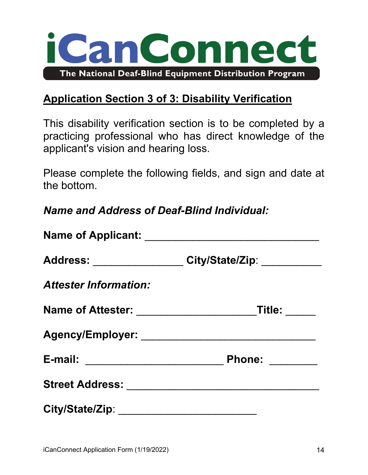

## **Application Section 3 of 3: Disability Verification**

This disability verification section is to be completed by a practicing professional who has direct knowledge of the applicant's vision and hearing loss.

Please complete the following fields, and sign and date at the bottom.

*Name and Address of Deaf-Blind Individual:* 

|                              | Address: ________________ City/State/Zip: __________        |
|------------------------------|-------------------------------------------------------------|
| <b>Attester Information:</b> |                                                             |
|                              | Name of Attester: ____________________________Title: ______ |
|                              |                                                             |
|                              | Phone: _______                                              |
|                              |                                                             |
|                              |                                                             |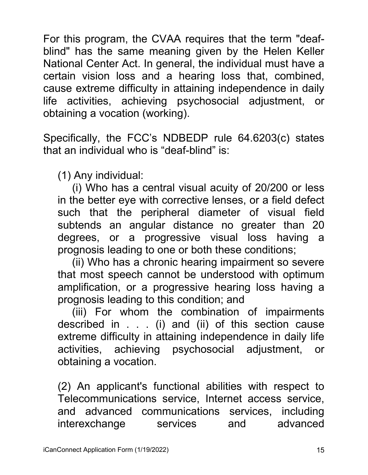For this program, the CVAA requires that the term "deafblind" has the same meaning given by the Helen Keller National Center Act. In general, the individual must have a certain vision loss and a hearing loss that, combined, cause extreme difficulty in attaining independence in daily life activities, achieving psychosocial adjustment, or obtaining a vocation (working).

Specifically, the FCC's NDBEDP rule 64.6203(c) states that an individual who is "deaf-blind" is:

(1) Any individual:

(i) Who has a central visual acuity of 20/200 or less in the better eye with corrective lenses, or a field defect such that the peripheral diameter of visual field subtends an angular distance no greater than 20 degrees, or a progressive visual loss having a prognosis leading to one or both these conditions;

(ii) Who has a chronic hearing impairment so severe that most speech cannot be understood with optimum amplification, or a progressive hearing loss having a prognosis leading to this condition; and

(iii) For whom the combination of impairments described in . . . (i) and (ii) of this section cause extreme difficulty in attaining independence in daily life activities, achieving psychosocial adjustment, or obtaining a vocation.

(2) An applicant's functional abilities with respect to Telecommunications service, Internet access service, and advanced communications services, including interexchange services and advanced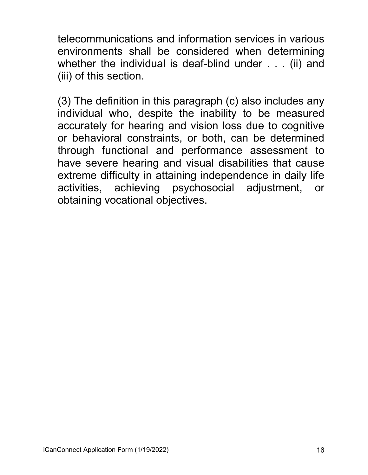telecommunications and information services in various environments shall be considered when determining whether the individual is deaf-blind under . . . (ii) and (iii) of this section.

(3) The definition in this paragraph (c) also includes any individual who, despite the inability to be measured accurately for hearing and vision loss due to cognitive or behavioral constraints, or both, can be determined through functional and performance assessment to have severe hearing and visual disabilities that cause extreme difficulty in attaining independence in daily life activities, achieving psychosocial adjustment, or obtaining vocational objectives.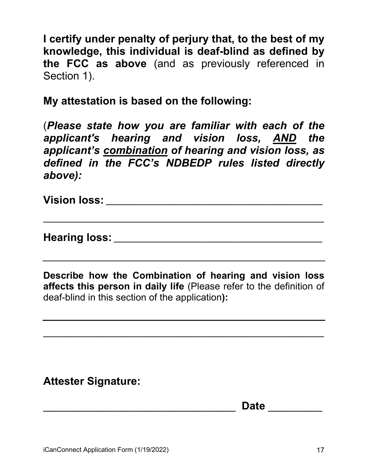**I certify under penalty of perjury that, to the best of my knowledge, this individual is deaf-blind as defined by the FCC as above** (and as previously referenced in Section 1).

**My attestation is based on the following:** 

(*Please state how you are familiar with each of the applicant's hearing and vision loss, AND the applicant's combination of hearing and vision loss, as defined in the FCC's NDBEDP rules listed directly above):*

**Vision loss: \_\_\_\_\_\_\_\_\_\_\_\_\_\_\_\_\_\_\_\_\_\_\_\_\_\_\_\_\_\_\_\_\_\_\_\_\_\_\_\_\_\_\_\_\_\_\_\_\_\_\_\_\_\_**

**Hearing loss: \_\_\_\_\_\_\_\_\_\_\_\_\_\_\_\_\_\_\_\_\_\_\_\_\_\_\_\_\_\_\_\_\_\_\_\_\_\_\_\_\_\_\_\_\_\_\_\_\_\_\_\_**

**Describe how the Combination of hearing and vision loss affects this person in daily life** (Please refer to the definition of deaf-blind in this section of the application**):** 

**\_\_\_\_\_\_\_\_\_\_\_\_\_\_\_\_\_\_\_\_\_\_\_\_\_\_\_\_\_\_\_\_\_\_\_\_\_\_\_\_\_\_\_\_\_\_\_\_\_\_\_\_\_\_\_\_\_\_\_\_\_\_\_\_\_\_\_\_\_\_**

**\_\_\_\_\_\_\_\_\_\_\_\_\_\_\_\_\_\_\_\_\_\_\_\_\_\_\_\_\_\_\_\_\_\_\_\_\_\_\_\_\_\_\_\_\_\_\_\_\_\_\_\_\_\_\_\_\_\_\_\_\_\_\_\_\_\_\_\_\_\_**

#### **Attester Signature:**

\_\_\_\_\_\_\_\_\_\_\_\_\_\_\_\_\_\_\_\_\_\_\_\_\_\_\_\_\_\_\_\_ **Date** \_\_\_\_\_\_\_\_\_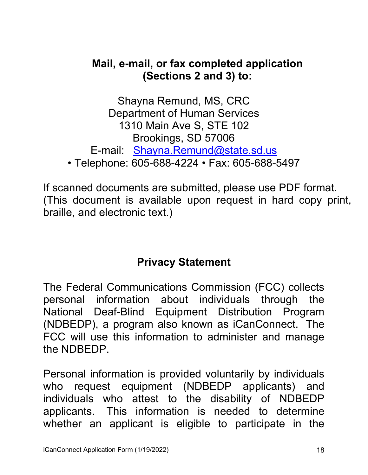#### **Mail, e-mail, or fax completed application (Sections 2 and 3) to:**

Shayna Remund, MS, CRC Department of Human Services 1310 Main Ave S, STE 102 Brookings, SD 57006 E-mail: [Shayna.Remund@state.sd.us](mailto:Shayna.Remund@state.sd.us) • Telephone: 605-688-4224 • Fax: 605-688-5497

If scanned documents are submitted, please use PDF format. (This document is available upon request in hard copy print, braille, and electronic text.)

## **Privacy Statement**

The Federal Communications Commission (FCC) collects personal information about individuals through the National Deaf-Blind Equipment Distribution Program (NDBEDP), a program also known as iCanConnect. The FCC will use this information to administer and manage the NDBEDP.

Personal information is provided voluntarily by individuals who request equipment (NDBEDP applicants) and individuals who attest to the disability of NDBEDP applicants. This information is needed to determine whether an applicant is eligible to participate in the